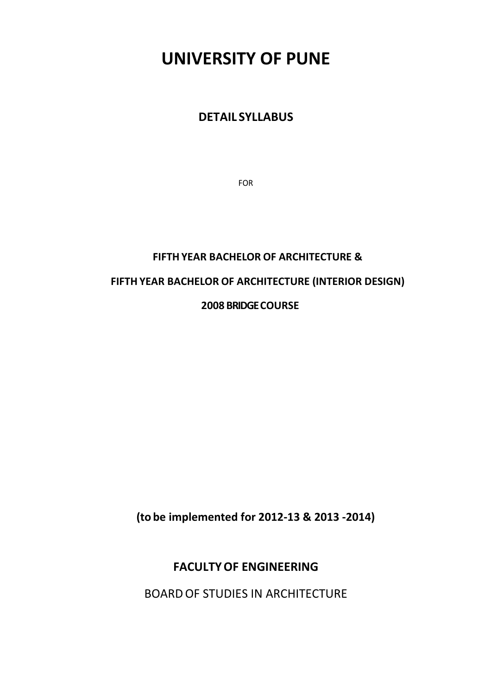# **UNIVERSITY OF PUNE**

# **DETAIL SYLLABUS**

FOR

# **FIFTH YEAR BACHELOR OF ARCHITECTURE & FIFTH YEAR BACHELOR OF ARCHITECTURE (INTERIOR DESIGN) 2008 BRIDGE COURSE**

**(to be implemented for 2012‐13 & 2013 ‐2014)**

# **FACULTY OF ENGINEERING**

BOARD OF STUDIES IN ARCHITECTURE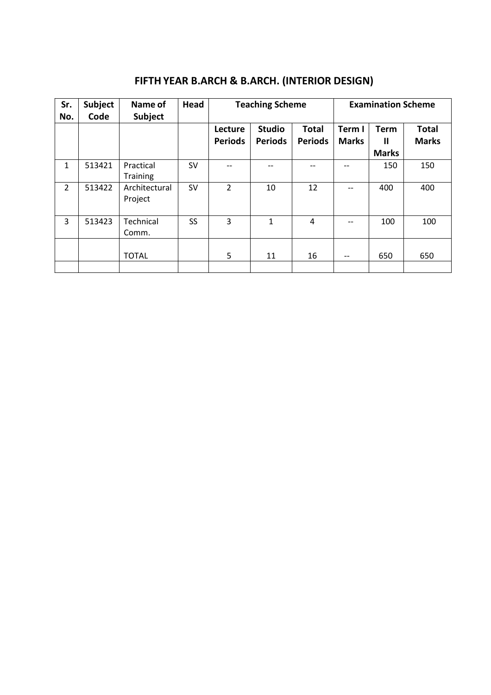# **FIFTH YEAR B.ARCH & B.ARCH. (INTERIOR DESIGN)**

| Sr.<br>No.     | <b>Subject</b><br>Code | Name of<br>Subject       | Head      | <b>Teaching Scheme</b>    |                                 |                                | <b>Examination Scheme</b> |                                  |                              |
|----------------|------------------------|--------------------------|-----------|---------------------------|---------------------------------|--------------------------------|---------------------------|----------------------------------|------------------------------|
|                |                        |                          |           | Lecture<br><b>Periods</b> | <b>Studio</b><br><b>Periods</b> | <b>Total</b><br><b>Periods</b> | Term I<br><b>Marks</b>    | <b>Term</b><br>Ш<br><b>Marks</b> | <b>Total</b><br><b>Marks</b> |
| $\mathbf{1}$   | 513421                 | Practical<br>Training    | <b>SV</b> |                           | --                              | --                             | --                        | 150                              | 150                          |
| $\overline{2}$ | 513422                 | Architectural<br>Project | SV        | $\overline{2}$            | 10                              | 12                             |                           | 400                              | 400                          |
| 3              | 513423                 | Technical<br>Comm.       | SS        | 3                         | 1                               | 4                              |                           | 100                              | 100                          |
|                |                        | <b>TOTAL</b>             |           | 5                         | 11                              | 16                             | $- -$                     | 650                              | 650                          |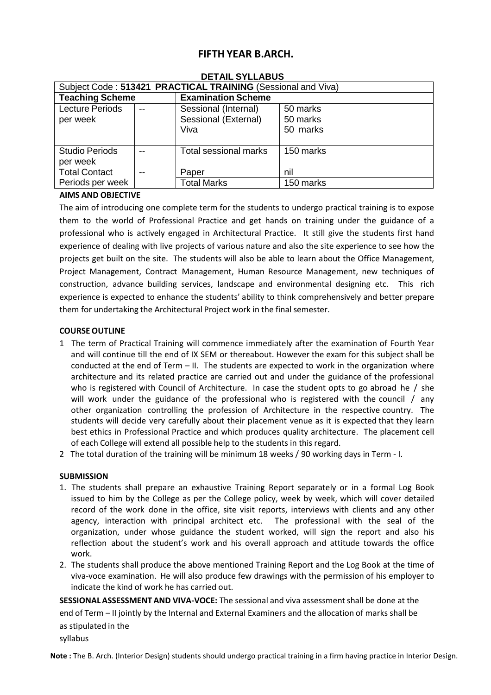# **FIFTH YEAR B.ARCH.**

| Subject Code: 513421 PRACTICAL TRAINING (Sessional and Viva) |     |                              |           |  |
|--------------------------------------------------------------|-----|------------------------------|-----------|--|
| <b>Teaching Scheme</b>                                       |     | <b>Examination Scheme</b>    |           |  |
| <b>Lecture Periods</b>                                       | $-$ | Sessional (Internal)         | 50 marks  |  |
| per week                                                     |     | Sessional (External)         | 50 marks  |  |
|                                                              |     | Viva                         | 50 marks  |  |
|                                                              |     |                              |           |  |
| <b>Studio Periods</b>                                        |     | <b>Total sessional marks</b> | 150 marks |  |
| per week                                                     |     |                              |           |  |
| <b>Total Contact</b><br>--                                   |     | Paper                        | nil       |  |
| Periods per week                                             |     | <b>Total Marks</b>           | 150 marks |  |

#### **DETAIL SYLLABUS**

# **AIMS AND OBJECTIVE**

The aim of introducing one complete term for the students to undergo practical training is to expose them to the world of Professional Practice and get hands on training under the guidance of a professional who is actively engaged in Architectural Practice. It still give the students first hand experience of dealing with live projects of various nature and also the site experience to see how the projects get built on the site. The students will also be able to learn about the Office Management, Project Management, Contract Management, Human Resource Management, new techniques of construction, advance building services, landscape and environmental designing etc. This rich experience is expected to enhance the students' ability to think comprehensively and better prepare them for undertaking the Architectural Project work in the final semester.

# **COURSE OUTLINE**

- 1 The term of Practical Training will commence immediately after the examination of Fourth Year and will continue till the end of IX SEM or thereabout. However the exam for this subject shall be conducted at the end of Term – II. The students are expected to work in the organization where architecture and its related practice are carried out and under the guidance of the professional who is registered with Council of Architecture. In case the student opts to go abroad he / she will work under the guidance of the professional who is registered with the council / any other organization controlling the profession of Architecture in the respective country. The students will decide very carefully about their placement venue as it is expected that they learn best ethics in Professional Practice and which produces quality architecture. The placement cell of each College will extend all possible help to the students in this regard.
- 2 The total duration of the training will be minimum 18 weeks / 90 working days in Term ‐ I.

#### **SUBMISSION**

- 1. The students shall prepare an exhaustive Training Report separately or in a formal Log Book issued to him by the College as per the College policy, week by week, which will cover detailed record of the work done in the office, site visit reports, interviews with clients and any other agency, interaction with principal architect etc. The professional with the seal of the organization, under whose guidance the student worked, will sign the report and also his reflection about the student's work and his overall approach and attitude towards the office work.
- 2. The students shall produce the above mentioned Training Report and the Log Book at the time of viva‐voce examination. He will also produce few drawings with the permission of his employer to indicate the kind of work he has carried out.

**SESSIONAL ASSESSMENT AND VIVA‐VOCE:** The sessional and viva assessment shall be done at the end of Term – II jointly by the Internal and External Examiners and the allocation of marks shall be as stipulated in the syllabus

**Note :** The B. Arch. (Interior Design) students should undergo practical training in a firm having practice in Interior Design.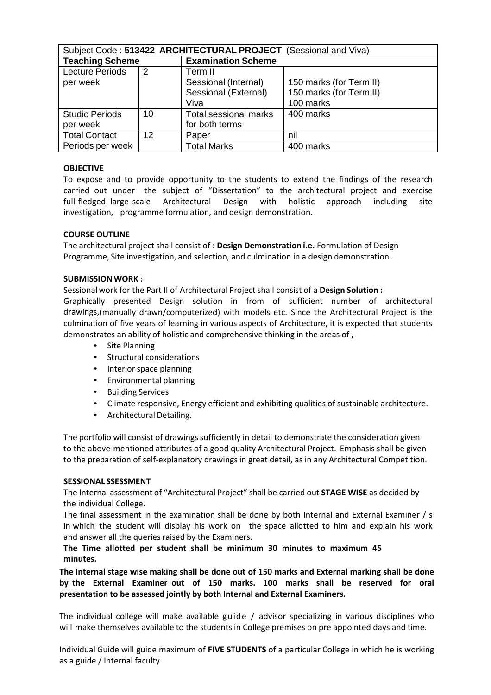| Subject Code: 513422 ARCHITECTURAL PROJECT (Sessional and Viva) |                 |                              |                         |  |
|-----------------------------------------------------------------|-----------------|------------------------------|-------------------------|--|
| <b>Teaching Scheme</b>                                          |                 | <b>Examination Scheme</b>    |                         |  |
| <b>Lecture Periods</b>                                          | $\overline{2}$  | Term II                      |                         |  |
| per week                                                        |                 | Sessional (Internal)         | 150 marks (for Term II) |  |
|                                                                 |                 | Sessional (External)         | 150 marks (for Term II) |  |
|                                                                 |                 | Viva                         | 100 marks               |  |
| <b>Studio Periods</b>                                           | 10              | <b>Total sessional marks</b> | 400 marks               |  |
| per week                                                        |                 | for both terms               |                         |  |
| <b>Total Contact</b>                                            | 12 <sup>°</sup> | Paper                        | nil                     |  |
| Periods per week                                                |                 | <b>Total Marks</b>           | 400 marks               |  |

# **OBJECTIVE**

To expose and to provide opportunity to the students to extend the findings of the research carried out under the subject of "Dissertation" to the architectural project and exercise full-fledged large scale Architectural Design with holistic approach including site investigation, programme formulation, and design demonstration.

#### **COURSE OUTLINE**

The architectural project shall consist of : **Design Demonstration i.e.** Formulation of Design Programme, Site investigation, and selection, and culmination in a design demonstration.

#### **SUBMISSION WORK :**

Sessional work for the Part II of Architectural Project shall consist of a **Design Solution :**

Graphically presented Design solution in from of sufficient number of architectural drawings,(manually drawn/computerized) with models etc. Since the Architectural Project is the culmination of five years of learning in various aspects of Architecture, it is expected that students demonstrates an ability of holistic and comprehensive thinking in the areas of ,

- Site Planning
- Structural considerations
- Interior space planning
- Environmental planning
- Building Services
- Climate responsive, Energy efficient and exhibiting qualities of sustainable architecture.
- Architectural Detailing.

The portfolio will consist of drawings sufficiently in detail to demonstrate the consideration given to the above‐mentioned attributes of a good quality Architectural Project. Emphasis shall be given to the preparation of self‐explanatory drawings in great detail, as in any Architectural Competition.

#### **SESSIONAL SSESSMENT**

The Internal assessment of "Architectural Project" shall be carried out **STAGE WISE** as decided by the individual College.

The final assessment in the examination shall be done by both Internal and External Examiner / s in which the student will display his work on the space allotted to him and explain his work and answer all the queries raised by the Examiners.

# **The Time allotted per student shall be minimum 30 minutes to maximum 45 minutes.**

**The Internal stage wise making shall be done out of 150 marks and External marking shall be done by the External Examiner out of 150 marks. 100 marks shall be reserved for oral presentation to be assessed jointly by both Internal and External Examiners.**

The individual college will make available guide / advisor specializing in various disciplines who will make themselves available to the students in College premises on pre appointed days and time.

Individual Guide will guide maximum of **FIVE STUDENTS** of a particular College in which he is working as a guide / Internal faculty.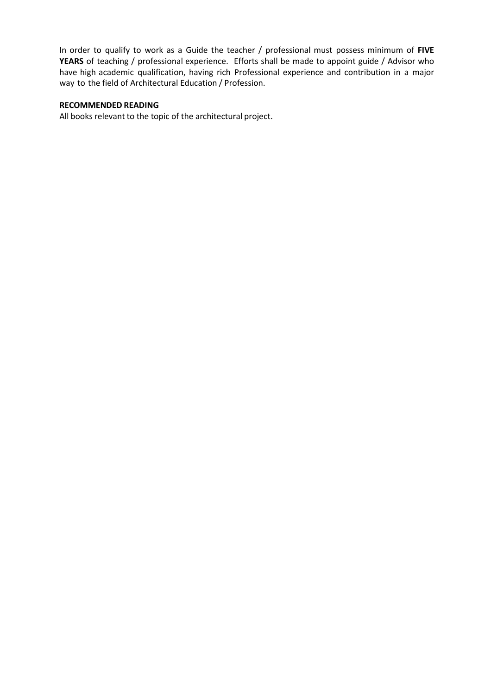In order to qualify to work as a Guide the teacher / professional must possess minimum of **FIVE YEARS** of teaching / professional experience. Efforts shall be made to appoint guide / Advisor who have high academic qualification, having rich Professional experience and contribution in a major way to the field of Architectural Education / Profession.

# **RECOMMENDED READING**

All books relevant to the topic of the architectural project.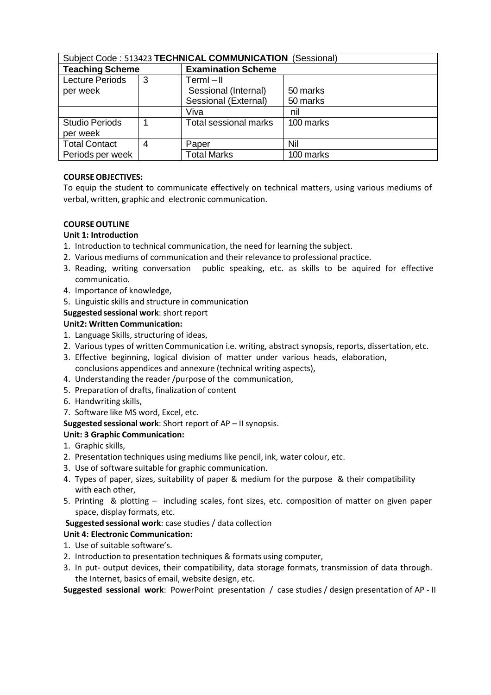| Subject Code: 513423 TECHNICAL COMMUNICATION (Sessional) |   |                           |           |  |
|----------------------------------------------------------|---|---------------------------|-----------|--|
| <b>Teaching Scheme</b>                                   |   | <b>Examination Scheme</b> |           |  |
| <b>Lecture Periods</b>                                   | 3 | $TermI - II$              |           |  |
| per week                                                 |   | Sessional (Internal)      | 50 marks  |  |
|                                                          |   | Sessional (External)      | 50 marks  |  |
|                                                          |   | Viva                      | nil       |  |
| <b>Studio Periods</b>                                    |   | Total sessional marks     | 100 marks |  |
| per week                                                 |   |                           |           |  |
| <b>Total Contact</b>                                     | 4 | Paper                     | Nil       |  |
| Periods per week                                         |   | <b>Total Marks</b>        | 100 marks |  |

# **COURSE OBJECTIVES:**

To equip the student to communicate effectively on technical matters, using various mediums of verbal, written, graphic and electronic communication.

#### **COURSE OUTLINE**

# **Unit 1: Introduction**

- 1. Introduction to technical communication, the need for learning the subject.
- 2. Various mediums of communication and their relevance to professional practice.
- 3. Reading, writing conversation public speaking, etc. as skills to be aquired for effective communicatio.
- 4. Importance of knowledge,
- 5. Linguistic skills and structure in communication

# **Suggested sessional work**: short report

# **Unit2: Written Communication:**

- 1. Language Skills, structuring of ideas,
- 2. Various types of written Communication i.e. writing, abstract synopsis, reports, dissertation, etc.
- 3. Effective beginning, logical division of matter under various heads, elaboration, conclusions appendices and annexure (technical writing aspects),
- 4. Understanding the reader /purpose of the communication,
- 5. Preparation of drafts, finalization of content
- 6. Handwriting skills,
- 7. Software like MS word, Excel, etc.

#### **Suggested sessional work**: Short report of AP – II synopsis.

# **Unit: 3 Graphic Communication:**

- 1. Graphic skills,
- 2. Presentation techniques using mediums like pencil, ink, water colour, etc.
- 3. Use of software suitable for graphic communication.
- 4. Types of paper, sizes, suitability of paper & medium for the purpose & their compatibility with each other,
- 5. Printing & plotting including scales, font sizes, etc. composition of matter on given paper space, display formats, etc.

#### **Suggested sessional work**: case studies / data collection

# **Unit 4: Electronic Communication:**

- 1. Use of suitable software's.
- 2. Introduction to presentation techniques & formats using computer,
- 3. In put- output devices, their compatibility, data storage formats, transmission of data through. the Internet, basics of email, website design, etc.

**Suggested sessional work**: PowerPoint presentation / case studies / design presentation of AP ‐ II